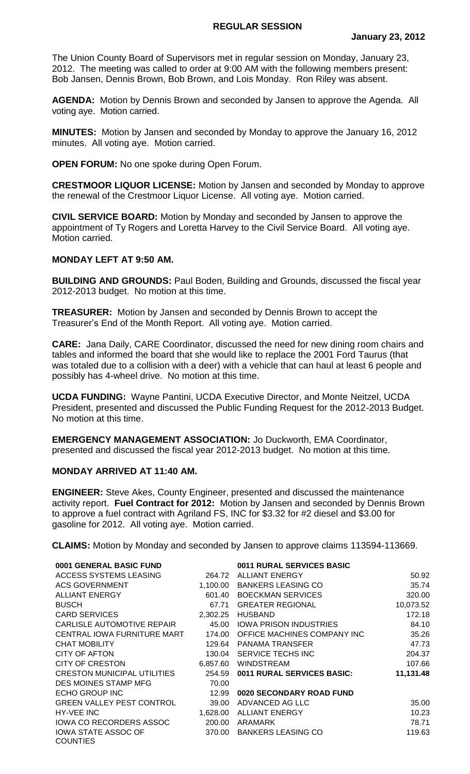## **REGULAR SESSION**

The Union County Board of Supervisors met in regular session on Monday, January 23, 2012. The meeting was called to order at 9:00 AM with the following members present: Bob Jansen, Dennis Brown, Bob Brown, and Lois Monday. Ron Riley was absent.

**AGENDA:** Motion by Dennis Brown and seconded by Jansen to approve the Agenda. All voting aye. Motion carried.

**MINUTES:** Motion by Jansen and seconded by Monday to approve the January 16, 2012 minutes. All voting aye. Motion carried.

**OPEN FORUM:** No one spoke during Open Forum.

**CRESTMOOR LIQUOR LICENSE:** Motion by Jansen and seconded by Monday to approve the renewal of the Crestmoor Liquor License. All voting aye. Motion carried.

**CIVIL SERVICE BOARD:** Motion by Monday and seconded by Jansen to approve the appointment of Ty Rogers and Loretta Harvey to the Civil Service Board. All voting aye. Motion carried.

## **MONDAY LEFT AT 9:50 AM.**

**BUILDING AND GROUNDS:** Paul Boden, Building and Grounds, discussed the fiscal year 2012-2013 budget. No motion at this time.

**TREASURER:** Motion by Jansen and seconded by Dennis Brown to accept the Treasurer's End of the Month Report. All voting aye. Motion carried.

**CARE:** Jana Daily, CARE Coordinator, discussed the need for new dining room chairs and tables and informed the board that she would like to replace the 2001 Ford Taurus (that was totaled due to a collision with a deer) with a vehicle that can haul at least 6 people and possibly has 4-wheel drive. No motion at this time.

**UCDA FUNDING:** Wayne Pantini, UCDA Executive Director, and Monte Neitzel, UCDA President, presented and discussed the Public Funding Request for the 2012-2013 Budget. No motion at this time.

**EMERGENCY MANAGEMENT ASSOCIATION:** Jo Duckworth, EMA Coordinator, presented and discussed the fiscal year 2012-2013 budget. No motion at this time.

## **MONDAY ARRIVED AT 11:40 AM.**

**ENGINEER:** Steve Akes, County Engineer, presented and discussed the maintenance activity report. **Fuel Contract for 2012:** Motion by Jansen and seconded by Dennis Brown to approve a fuel contract with Agriland FS, INC for \$3.32 for #2 diesel and \$3.00 for gasoline for 2012. All voting aye. Motion carried.

**CLAIMS:** Motion by Monday and seconded by Jansen to approve claims 113594-113669.

| 0001 GENERAL BASIC FUND                       |          | 0011 RURAL SERVICES BASIC     |           |
|-----------------------------------------------|----------|-------------------------------|-----------|
| ACCESS SYSTEMS LEASING                        | 264.72   | <b>ALLIANT ENERGY</b>         | 50.92     |
| <b>ACS GOVERNMENT</b>                         | 1,100.00 | <b>BANKERS LEASING CO</b>     | 35.74     |
| <b>ALLIANT ENERGY</b>                         | 601.40   | <b>BOECKMAN SERVICES</b>      | 320.00    |
| <b>BUSCH</b>                                  | 67.71    | <b>GREATER REGIONAL</b>       | 10,073.52 |
| <b>CARD SERVICES</b>                          | 2,302.25 | <b>HUSBAND</b>                | 172.18    |
| CARLISLE AUTOMOTIVE REPAIR                    | 45.00    | <b>JOWA PRISON INDUSTRIES</b> | 84.10     |
| CENTRAL IOWA FURNITURE MART                   | 174.00   | OFFICE MACHINES COMPANY INC   | 35.26     |
| <b>CHAT MOBILITY</b>                          | 129.64   | PANAMA TRANSFER               | 47.73     |
| CITY OF AFTON                                 | 130.04   | SERVICE TECHS INC             | 204.37    |
| CITY OF CRESTON                               | 6,857.60 | <b>WINDSTREAM</b>             | 107.66    |
| CRESTON MUNICIPAL UTILITIES                   | 254.59   | 0011 RURAL SERVICES BASIC:    | 11,131.48 |
| DES MOINES STAMP MFG                          | 70.00    |                               |           |
| ECHO GROUP INC                                | 12.99    | 0020 SECONDARY ROAD FUND      |           |
| <b>GREEN VALLEY PEST CONTROL</b>              | 39.00    | ADVANCED AG LLC               | 35.00     |
| HY-VEE INC                                    | 1,628.00 | ALLIANT ENERGY                | 10.23     |
| IOWA CO RECORDERS ASSOC                       | 200.00   | ARAMARK                       | 78.71     |
| <b>IOWA STATE ASSOC OF</b><br><b>COUNTIES</b> | 370.00   | <b>BANKERS LEASING CO</b>     | 119.63    |